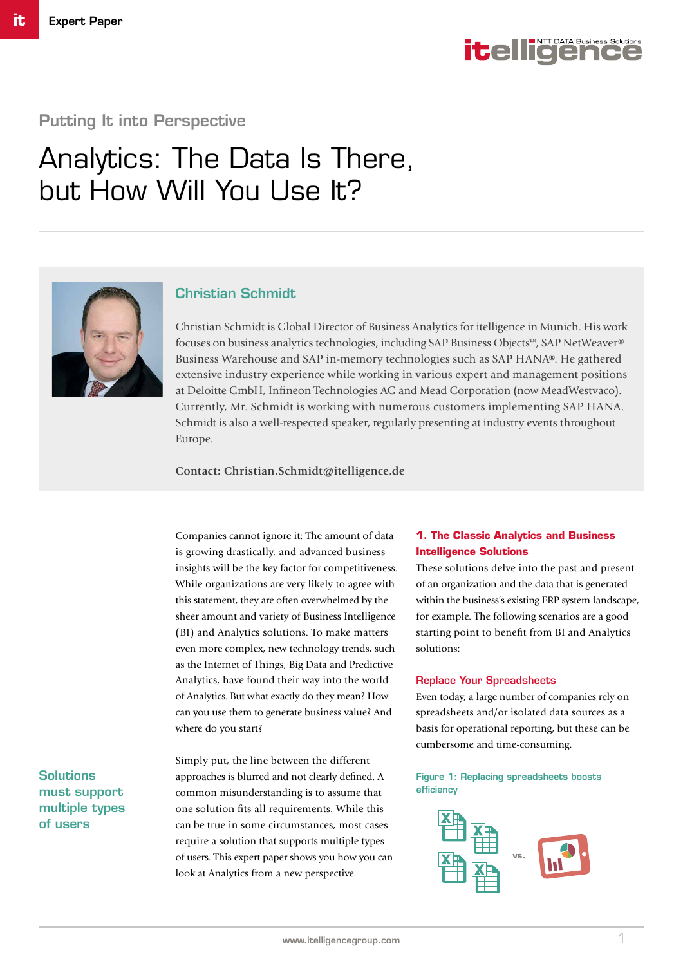

## Putting It into Perspective

# Analytics: The Data Is There, but How Will You Use It?



## Christian Schmidt

Christian Schmidt is Global Director of Business Analytics for itelligence in Munich. His work focuses on business analytics technologies, including SAP Business Objects™, SAP NetWeaver® Business Warehouse and SAP in-memory technologies such as SAP HANA®. He gathered extensive industry experience while working in various expert and management positions at Deloitte GmbH, Infineon Technologies AG and Mead Corporation (now MeadWestvaco). Currently, Mr. Schmidt is working with numerous customers implementing SAP HANA. Schmidt is also a well-respected speaker, regularly presenting at industry events throughout Europe.

**Contact: Christian.Schmidt@itelligence.de**

Companies cannot ignore it: The amount of data is growing drastically, and advanced business insights will be the key factor for competitiveness. While organizations are very likely to agree with this statement, they are often overwhelmed by the sheer amount and variety of Business Intelligence (BI) and Analytics solutions. To make matters even more complex, new technology trends, such as the Internet of Things, Big Data and Predictive Analytics, have found their way into the world of Analytics. But what exactly do they mean? How can you use them to generate business value? And where do you start?

Simply put, the line between the different approaches is blurred and not clearly defined. A common misunderstanding is to assume that one solution fits all requirements. While this can be true in some circumstances, most cases require a solution that supports multiple types of users. This expert paper shows you how you can look at Analytics from a new perspective.

## **1. The Classic Analytics and Business Intelligence Solutions**

These solutions delve into the past and present of an organization and the data that is generated within the business's existing ERP system landscape, for example. The following scenarios are a good starting point to benefit from BI and Analytics solutions:

#### Replace Your Spreadsheets

Even today, a large number of companies rely on spreadsheets and/or isolated data sources as a basis for operational reporting, but these can be cumbersome and time-consuming.

## Figure 1: Replacing spreadsheets boosts efficiency



Solutions must support multiple types of users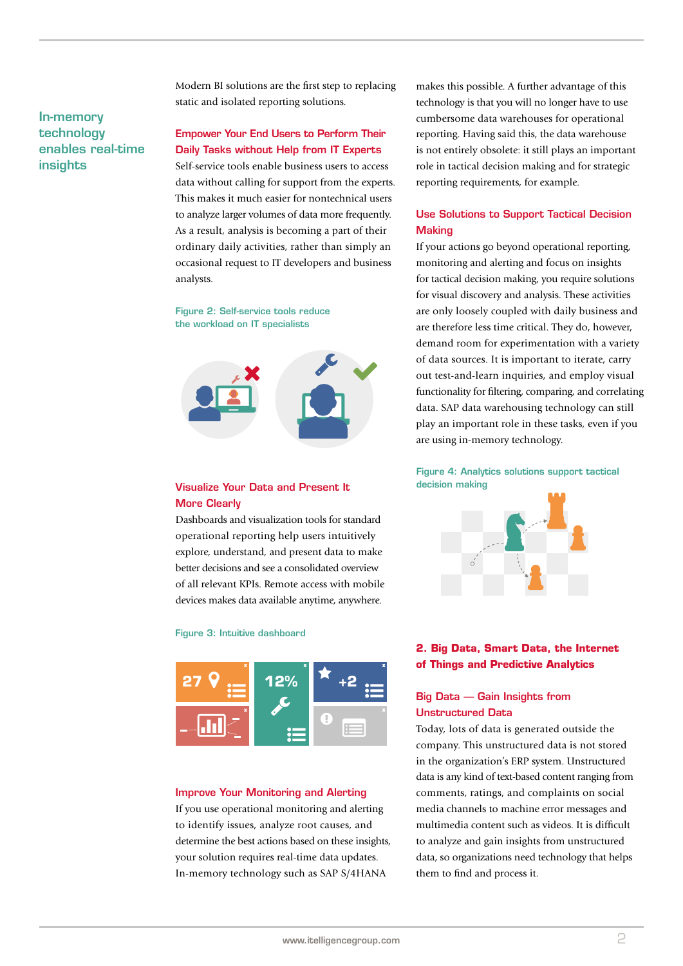## In-memory technology enables real-time **insights**

Modern BI solutions are the first step to replacing static and isolated reporting solutions.

## Empower Your End Users to Perform Their Daily Tasks without Help from IT Experts

Self-service tools enable business users to access data without calling for support from the experts. This makes it much easier for nontechnical users to analyze larger volumes of data more frequently. As a result, analysis is becoming a part of their ordinary daily activities, rather than simply an occasional request to IT developers and business analysts.

Figure 2: Self-service tools reduce the workload on IT specialists



## Visualize Your Data and Present It More Clearly

Dashboards and visualization tools for standard operational reporting help users intuitively explore, understand, and present data to make better decisions and see a consolidated overview of all relevant KPIs. Remote access with mobile devices makes data available anytime, anywhere.

#### Figure 3: Intuitive dashboard



#### Improve Your Monitoring and Alerting

If you use operational monitoring and alerting to identify issues, analyze root causes, and determine the best actions based on these insights, your solution requires real-time data updates. In-memory technology such as SAP S/4HANA

makes this possible. A further advantage of this technology is that you will no longer have to use cumbersome data warehouses for operational reporting. Having said this, the data warehouse is not entirely obsolete: it still plays an important role in tactical decision making and for strategic reporting requirements, for example.

## Use Solutions to Support Tactical Decision **Making**

If your actions go beyond operational reporting, monitoring and alerting and focus on insights for tactical decision making, you require solutions for visual discovery and analysis. These activities are only loosely coupled with daily business and are therefore less time critical. They do, however, demand room for experimentation with a variety of data sources. It is important to iterate, carry out test-and-learn inquiries, and employ visual functionality for filtering, comparing, and correlating data. SAP data warehousing technology can still play an important role in these tasks, even if you are using in-memory technology.

Figure 4: Analytics solutions support tactical decision making



## **2. Big Data, Smart Data, the Internet of Things and Predictive Analytics**

## Big Data — Gain Insights from Unstructured Data

Today, lots of data is generated outside the company. This unstructured data is not stored in the organization's ERP system. Unstructured data is any kind of text-based content ranging from comments, ratings, and complaints on social media channels to machine error messages and multimedia content such as videos. It is difficult to analyze and gain insights from unstructured data, so organizations need technology that helps them to find and process it.